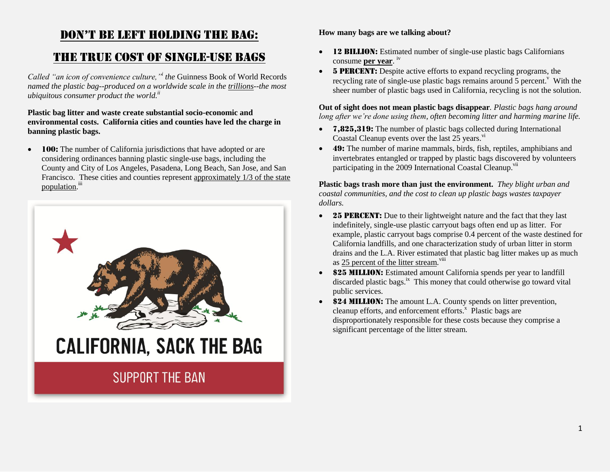## Don't Be Left HoLDing tHe Bag:

## The True Cost of Single-Use Bags

*Called "an icon of convenience culture,"<sup>i</sup> the* Guinness Book of World Records *named the plastic bag--produced on a worldwide scale in the trillions--the most ubiquitous consumer product the world.ii*

## **Plastic bag litter and waste create substantial socio-economic and environmental costs. California cities and counties have led the charge in banning plastic bags.**

• **100:** The number of California jurisdictions that have adopted or are considering ordinances banning plastic single-use bags, including the County and City of Los Angeles, Pasadena, Long Beach, San Jose, and San Francisco. These cities and counties represent approximately 1/3 of the state population.<sup>iii</sup>



## **How many bags are we talking about?**

- 12 BILLION: Estimated number of single-use plastic bags Californians consume **per year**. iv
- 5 PERCENT: Despite active efforts to expand recycling programs, the recycling rate of single-use plastic bags remains around  $\overline{5}$  percent.<sup>v</sup> With the sheer number of plastic bags used in California, recycling is not the solution.

**Out of sight does not mean plastic bags disappear***. Plastic bags hang around long after we're done using them, often becoming litter and harming marine life.*

- 7,825,319: The number of plastic bags collected during International Coastal Cleanup events over the last  $25$  years.<sup>vi</sup>
- 49: The number of marine mammals, birds, fish, reptiles, amphibians and invertebrates entangled or trapped by plastic bags discovered by volunteers participating in the 2009 International Coastal Cleanup.<sup>vii</sup>

**Plastic bags trash more than just the environment.** *They blight urban and coastal communities, and the cost to clean up plastic bags wastes taxpayer dollars.* 

- 25 PERCENT: Due to their lightweight nature and the fact that they last indefinitely, single-use plastic carryout bags often end up as litter. For example, plastic carryout bags comprise 0.4 percent of the waste destined for California landfills, and one characterization study of urban litter in storm drains and the L.A. River estimated that plastic bag litter makes up as much as 25 percent of the litter stream.<sup>viii</sup>
- \$25 MILLION: Estimated amount California spends per year to landfill discarded plastic bags.<sup>ix</sup> This money that could otherwise go toward vital public services.
- \$24 MILLION: The amount L.A. County spends on litter prevention, cleanup efforts, and enforcement efforts. $^{\text{x}}$  Plastic bags are disproportionately responsible for these costs because they comprise a significant percentage of the litter stream.